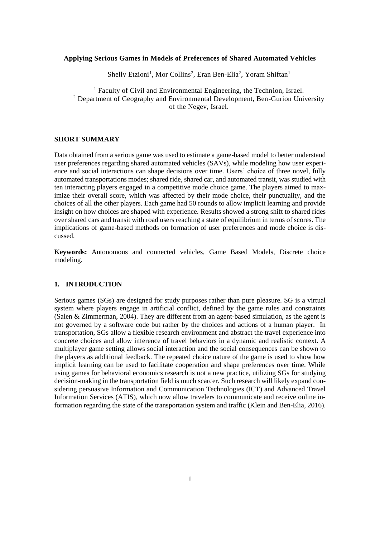## **Applying Serious Games in Models of Preferences of Shared Automated Vehicles**

Shelly Etzioni<sup>1</sup>, Mor Collins<sup>2</sup>, Eran Ben-Elia<sup>2</sup>, Yoram Shiftan<sup>1</sup>

<sup>1</sup> Faculty of Civil and Environmental Engineering, the Technion, Israel. <sup>2</sup> Department of Geography and Environmental Development, Ben-Gurion University of the Negev, Israel.

## **SHORT SUMMARY**

Data obtained from a serious game was used to estimate a game-based model to better understand user preferences regarding shared automated vehicles (SAVs), while modeling how user experience and social interactions can shape decisions over time. Users' choice of three novel, fully automated transportations modes; shared ride, shared car, and automated transit, was studied with ten interacting players engaged in a competitive mode choice game. The players aimed to maximize their overall score, which was affected by their mode choice, their punctuality, and the choices of all the other players. Each game had 50 rounds to allow implicit learning and provide insight on how choices are shaped with experience. Results showed a strong shift to shared rides over shared cars and transit with road users reaching a state of equilibrium in terms of scores. The implications of game-based methods on formation of user preferences and mode choice is discussed.

**Keywords:** Autonomous and connected vehicles, Game Based Models, Discrete choice modeling.

## **1. INTRODUCTION**

Serious games (SGs) are designed for study purposes rather than pure pleasure. SG is a virtual system where players engage in artificial conflict, defined by the game rules and constraints (Salen & Zimmerman, 2004). They are different from an agent-based simulation, as the agent is not governed by a software code but rather by the choices and actions of a human player. In transportation, SGs allow a flexible research environment and abstract the travel experience into concrete choices and allow inference of travel behaviors in a dynamic and realistic context. A multiplayer game setting allows social interaction and the social consequences can be shown to the players as additional feedback. The repeated choice nature of the game is used to show how implicit learning can be used to facilitate cooperation and shape preferences over time. While using games for behavioral economics research is not a new practice, utilizing SGs for studying decision-making in the transportation field is much scarcer. Such research will likely expand considering persuasive Information and Communication Technologies (ICT) and Advanced Travel Information Services (ATIS), which now allow travelers to communicate and receive online information regarding the state of the transportation system and traffic (Klein and Ben-Elia, 2016).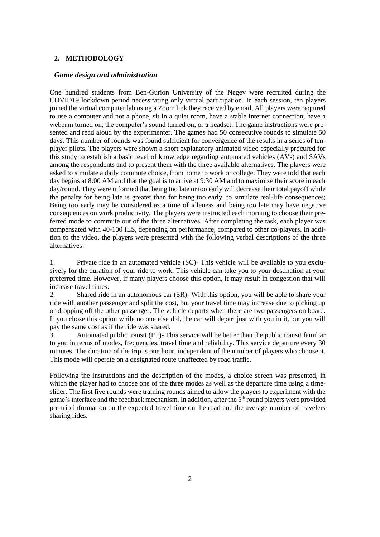#### **2. METHODOLOGY**

#### *Game design and administration*

One hundred students from Ben-Gurion University of the Negev were recruited during the COVID19 lockdown period necessitating only virtual participation. In each session, ten players joined the virtual computer lab using a Zoom link they received by email. All players were required to use a computer and not a phone, sit in a quiet room, have a stable internet connection, have a webcam turned on, the computer's sound turned on, or a headset. The game instructions were presented and read aloud by the experimenter. The games had 50 consecutive rounds to simulate 50 days. This number of rounds was found sufficient for convergence of the results in a series of tenplayer pilots. The players were shown a short explanatory animated video especially procured for this study to establish a basic level of knowledge regarding automated vehicles (AVs) and SAVs among the respondents and to present them with the three available alternatives. The players were asked to simulate a daily commute choice, from home to work or college. They were told that each day begins at 8:00 AM and that the goal is to arrive at 9:30 AM and to maximize their score in each day/round. They were informed that being too late or too early will decrease their total payoff while the penalty for being late is greater than for being too early, to simulate real-life consequences; Being too early may be considered as a time of idleness and being too late may have negative consequences on work productivity. The players were instructed each morning to choose their preferred mode to commute out of the three alternatives. After completing the task, each player was compensated with 40-100 ILS, depending on performance, compared to other co-players. In addition to the video, the players were presented with the following verbal descriptions of the three alternatives:

1. Private ride in an automated vehicle (SC)- This vehicle will be available to you exclusively for the duration of your ride to work. This vehicle can take you to your destination at your preferred time. However, if many players choose this option, it may result in congestion that will increase travel times.

2. Shared ride in an autonomous car (SR)- With this option, you will be able to share your ride with another passenger and split the cost, but your travel time may increase due to picking up or dropping off the other passenger. The vehicle departs when there are two passengers on board. If you chose this option while no one else did, the car will depart just with you in it, but you will pay the same cost as if the ride was shared.

3. Automated public transit (PT)- This service will be better than the public transit familiar to you in terms of modes, frequencies, travel time and reliability. This service departure every 30 minutes. The duration of the trip is one hour, independent of the number of players who choose it. This mode will operate on a designated route unaffected by road traffic.

Following the instructions and the description of the modes, a choice screen was presented, in which the player had to choose one of the three modes as well as the departure time using a timeslider. The first five rounds were training rounds aimed to allow the players to experiment with the game's interface and the feedback mechanism. In addition, after the 5th round players were provided pre-trip information on the expected travel time on the road and the average number of travelers sharing rides.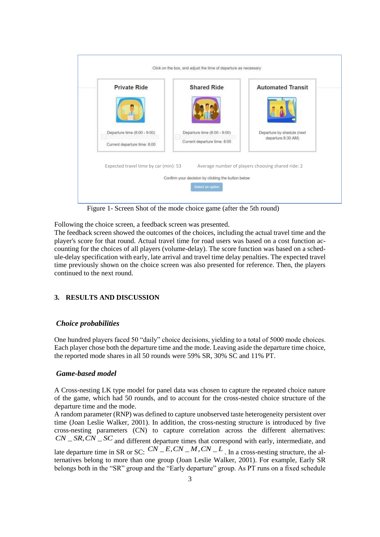

Figure 1- Screen Shot of the mode choice game (after the 5th round)

Following the choice screen, a feedback screen was presented.

The feedback screen showed the outcomes of the choices, including the actual travel time and the player's score for that round. Actual travel time for road users was based on a cost function accounting for the choices of all players (volume-delay). The score function was based on a schedule-delay specification with early, late arrival and travel time delay penalties. The expected travel time previously shown on the choice screen was also presented for reference. Then, the players continued to the next round.

# **3. RESULTS AND DISCUSSION**

# *Choice probabilities*

One hundred players faced 50 "daily" choice decisions, yielding to a total of 5000 mode choices. Each player chose both the departure time and the mode. Leaving aside the departure time choice, the reported mode shares in all 50 rounds were 59% SR, 30% SC and 11% PT.

# *Game-based model*

A Cross-nesting LK type model for panel data was chosen to capture the repeated choice nature of the game, which had 50 rounds, and to account for the cross-nested choice structure of the departure time and the mode.

A random parameter (RNP) was defined to capture unobserved taste heterogeneity persistent over time (Joan Leslie Walker, 2001). In addition, the cross-nesting structure is introduced by five cross-nesting parameters (CN) to capture correlation across the different alternatives:  $CN\_SR, CN\_SC$  and different departure times that correspond with early, intermediate, and  $\Gamma$  and different departure times that correspond with early, intermediate, and<br>late departure time in SR or SC:  $\frac{CN}{=E, CN_M, CN_L}$ . In a cross-nesting structure, the alternatives belong to more than one group (Joan Leslie Walker, 2001). For example, Early SR belongs both in the "SR" group and the "Early departure" group. As PT runs on a fixed schedule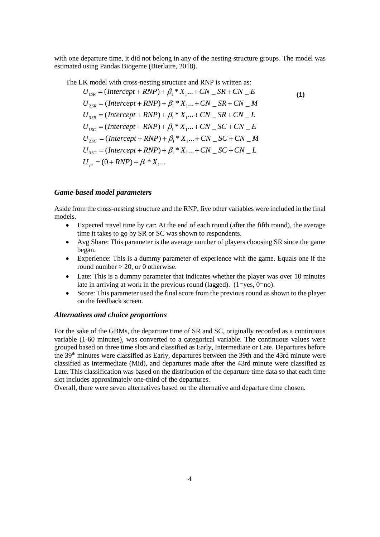with one departure time, it did not belong in any of the nesting structure groups. The model was estimated using Pandas Biogeme (Bierlaire, 2018).

The LK model with cross-nesting structure and RNP is written as:

$$
U_{1SR} = (Intercept + RNP) + \beta_1 * X_1 ... + CN\_SR + CN\_E
$$
  
\n
$$
U_{2SR} = (Intercept + RNP) + \beta_1 * X_1 ... + CN\_SR + CN\_M
$$
  
\n
$$
U_{3SR} = (Intercept + RNP) + \beta_1 * X_1 ... + CN\_SR + CN\_L
$$
  
\n
$$
U_{1SC} = (Intercept + RNP) + \beta_1 * X_1 ... + CN\_SC + CN\_E
$$
  
\n
$$
U_{2SC} = (Intercept + RNP) + \beta_1 * X_1 ... + CN\_SC + CN\_M
$$
  
\n
$$
U_{3SC} = (Intercept + RNP) + \beta_1 * X_1 ... + CN\_SC + CN\_L
$$
  
\n
$$
U_{pt} = (0 + RNP) + \beta_1 * X_1 ...
$$

# *Game-based model parameters*

Aside from the cross-nesting structure and the RNP, five other variables were included in the final models.

- Expected travel time by car: At the end of each round (after the fifth round), the average time it takes to go by SR or SC was shown to respondents.
- Avg Share: This parameter is the average number of players choosing SR since the game began.
- Experience: This is a dummy parameter of experience with the game. Equals one if the round number  $> 20$ , or 0 otherwise.
- Late: This is a dummy parameter that indicates whether the player was over 10 minutes late in arriving at work in the previous round (lagged).  $(1=yes, 0=no)$ .
- Score: This parameter used the final score from the previous round as shown to the player on the feedback screen.

#### *Alternatives and choice proportions*

For the sake of the GBMs, the departure time of SR and SC, originally recorded as a continuous variable (1-60 minutes), was converted to a categorical variable. The continuous values were grouped based on three time slots and classified as Early, Intermediate or Late. Departures before the 39th minutes were classified as Early, departures between the 39th and the 43rd minute were classified as Intermediate (Mid), and departures made after the 43rd minute were classified as Late. This classification was based on the distribution of the departure time data so that each time slot includes approximately one-third of the departures.

Overall, there were seven alternatives based on the alternative and departure time chosen.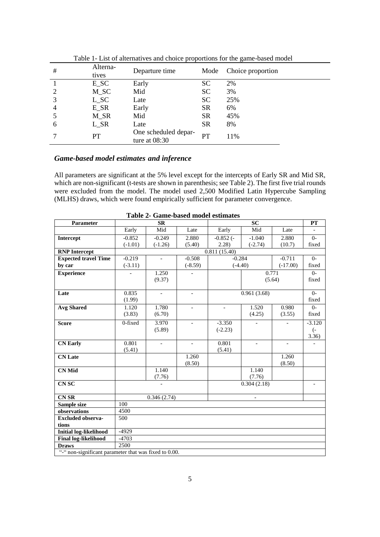| Table 1- List of and mail ves and choice proportions for the game-based model |                   |                                         |           |                   |  |  |  |  |  |
|-------------------------------------------------------------------------------|-------------------|-----------------------------------------|-----------|-------------------|--|--|--|--|--|
| #                                                                             | Alterna-<br>tives | Departure time                          | Mode      | Choice proportion |  |  |  |  |  |
|                                                                               | $E\_SC$           | Early                                   | <b>SC</b> | 2%                |  |  |  |  |  |
|                                                                               | $M\_SC$           | Mid                                     | SC        | 3%                |  |  |  |  |  |
| 3                                                                             | $L\_SC$           | Late                                    | SC        | 25%               |  |  |  |  |  |
| 4                                                                             | $E_S R$           | Early                                   | <b>SR</b> | 6%                |  |  |  |  |  |
|                                                                               | $M_S R$           | Mid                                     | <b>SR</b> | 45%               |  |  |  |  |  |
| 6                                                                             | $L$ <sub>SR</sub> | Late                                    | SR        | 8%                |  |  |  |  |  |
|                                                                               | PT                | One scheduled depar-<br>ture at $08:30$ | PT        | 11%               |  |  |  |  |  |

Table 1- List of alternatives and choice proportions for the game-based model

# *Game-based model estimates and inference*

All parameters are significant at the 5% level except for the intercepts of Early SR and Mid SR, which are non-significant (t-tests are shown in parenthesis; see Table 2). The first five trial rounds were excluded from the model. The model used 2,500 Modified Latin Hypercube Sampling (MLHS) draws, which were found empirically sufficient for parameter convergence.

| Parameter                                             | <b>SR</b>                |                |                          |                          | PT                       |                          |                  |  |  |  |
|-------------------------------------------------------|--------------------------|----------------|--------------------------|--------------------------|--------------------------|--------------------------|------------------|--|--|--|
|                                                       | Early                    | Mid            | Late                     | Early                    | Mid                      | Late                     |                  |  |  |  |
| Intercept                                             | $-0.852$                 | $-0.249$       | 2.880                    | $-0.852(-$               | $-1.040$                 | 2.880                    | $\Omega$         |  |  |  |
|                                                       | $(-1.01)$                | $(-1.26)$      | (5.40)                   | 2.28                     | $(-2.74)$                | (10.7)                   | fixed            |  |  |  |
| <b>RNP</b> Intercept                                  | 0.811(15.40)             |                |                          |                          |                          |                          |                  |  |  |  |
| <b>Expected travel Time</b>                           | $-0.219$                 | $\overline{a}$ | $-0.508$                 | $-0.284$                 |                          | $-0.711$                 | $O -$            |  |  |  |
| by car                                                | $(-3.11)$                |                | $(-8.59)$                | $(-4.40)$                |                          | $(-17.00)$               | fixed            |  |  |  |
| <b>Experience</b>                                     | $\overline{a}$           | 1.250          | $\sim$                   | 0.771                    |                          |                          | $0-$             |  |  |  |
|                                                       |                          | (9.37)         |                          |                          |                          | (5.64)                   | fixed            |  |  |  |
|                                                       |                          |                |                          |                          |                          |                          |                  |  |  |  |
| Late                                                  | 0.835                    | $\blacksquare$ | $\overline{\phantom{a}}$ | 0.961(3.68)              |                          |                          | $O -$            |  |  |  |
|                                                       | (1.99)                   |                |                          |                          |                          |                          | fixed            |  |  |  |
| <b>Avg Shared</b>                                     | 1.120                    | 1.780          | $\overline{\phantom{a}}$ | $\overline{\phantom{a}}$ | 1.520                    | 0.980                    | $0-$             |  |  |  |
|                                                       | (3.83)                   | (6.70)         |                          |                          | (4.25)                   | (3.55)                   | fixed            |  |  |  |
| <b>Score</b>                                          | 0-fixed                  | 3.970          |                          | $-3.350$                 |                          |                          | $-3.120$         |  |  |  |
|                                                       |                          | (5.89)         |                          | $(-2.23)$                |                          |                          | $\overline{(-)}$ |  |  |  |
|                                                       |                          |                |                          |                          |                          |                          | 3.36)            |  |  |  |
| <b>CN Early</b>                                       | 0.801                    | $\blacksquare$ | $\overline{\phantom{a}}$ | 0.801                    | $\overline{\phantom{a}}$ | $\overline{\phantom{a}}$ |                  |  |  |  |
|                                                       | (5.41)                   |                |                          | (5.41)                   |                          |                          |                  |  |  |  |
| <b>CN</b> Late                                        |                          |                | 1.260                    |                          |                          | 1.260                    |                  |  |  |  |
|                                                       |                          |                | (8.50)                   |                          |                          | (8.50)                   |                  |  |  |  |
| <b>CN Mid</b>                                         |                          | 1.140          |                          |                          | 1.140                    |                          |                  |  |  |  |
|                                                       |                          | (7.76)         |                          |                          | (7.76)                   |                          |                  |  |  |  |
| <b>CNSC</b>                                           | $\overline{\phantom{0}}$ |                |                          | 0.304(2.18)              |                          |                          |                  |  |  |  |
| <b>CN SR</b>                                          | 0.346(2.74)              |                |                          |                          |                          |                          |                  |  |  |  |
| Sample size                                           | 100                      |                |                          |                          |                          |                          |                  |  |  |  |
| observations                                          | 4500                     |                |                          |                          |                          |                          |                  |  |  |  |
| <b>Excluded observa-</b>                              | 500                      |                |                          |                          |                          |                          |                  |  |  |  |
| tions                                                 |                          |                |                          |                          |                          |                          |                  |  |  |  |
| <b>Initial log-likelihood</b>                         | $-4929$                  |                |                          |                          |                          |                          |                  |  |  |  |
| <b>Final log-likelihood</b>                           | $-4703$                  |                |                          |                          |                          |                          |                  |  |  |  |
| <b>Draws</b>                                          | 2500                     |                |                          |                          |                          |                          |                  |  |  |  |
| "-" non-significant parameter that was fixed to 0.00. |                          |                |                          |                          |                          |                          |                  |  |  |  |

**Table 2- Game-based model estimates**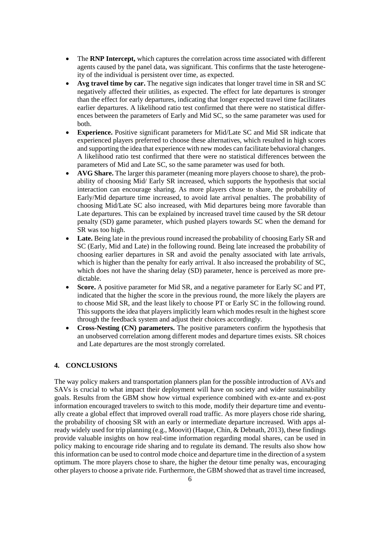- The **RNP Intercept,** which captures the correlation across time associated with different agents caused by the panel data, was significant. This confirms that the taste heterogeneity of the individual is persistent over time, as expected.
- **Avg travel time by car.** The negative sign indicates that longer travel time in SR and SC negatively affected their utilities, as expected. The effect for late departures is stronger than the effect for early departures, indicating that longer expected travel time facilitates earlier departures. A likelihood ratio test confirmed that there were no statistical differences between the parameters of Early and Mid SC, so the same parameter was used for both.
- **Experience.** Positive significant parameters for Mid/Late SC and Mid SR indicate that experienced players preferred to choose these alternatives, which resulted in high scores and supporting the idea that experience with new modes can facilitate behavioral changes. A likelihood ratio test confirmed that there were no statistical differences between the parameters of Mid and Late SC, so the same parameter was used for both.
- **AVG Share.** The larger this parameter (meaning more players choose to share), the probability of choosing Mid/ Early SR increased, which supports the hypothesis that social interaction can encourage sharing. As more players chose to share, the probability of Early/Mid departure time increased, to avoid late arrival penalties. The probability of choosing Mid/Late SC also increased, with Mid departures being more favorable than Late departures. This can be explained by increased travel time caused by the SR detour penalty (SD) game parameter, which pushed players towards SC when the demand for SR was too high.
- **Late.** Being late in the previous round increased the probability of choosing Early SR and SC (Early, Mid and Late) in the following round. Being late increased the probability of choosing earlier departures in SR and avoid the penalty associated with late arrivals, which is higher than the penalty for early arrival. It also increased the probability of SC, which does not have the sharing delay (SD) parameter, hence is perceived as more predictable.
- **Score.** A positive parameter for Mid SR, and a negative parameter for Early SC and PT, indicated that the higher the score in the previous round, the more likely the players are to choose Mid SR, and the least likely to choose PT or Early SC in the following round. This supports the idea that players implicitly learn which modes result in the highest score through the feedback system and adjust their choices accordingly.
- **Cross-Nesting (CN) parameters.** The positive parameters confirm the hypothesis that an unobserved correlation among different modes and departure times exists. SR choices and Late departures are the most strongly correlated.

# **4. CONCLUSIONS**

The way policy makers and transportation planners plan for the possible introduction of AVs and SAVs is crucial to what impact their deployment will have on society and wider sustainability goals. Results from the GBM show how virtual experience combined with ex-ante and ex-post information encouraged travelers to switch to this mode, modify their departure time and eventually create a global effect that improved overall road traffic. As more players chose ride sharing, the probability of choosing SR with an early or intermediate departure increased. With apps already widely used for trip planning (e.g., Moovit) (Haque, Chin, & Debnath, 2013), these findings provide valuable insights on how real-time information regarding modal shares, can be used in policy making to encourage ride sharing and to regulate its demand. The results also show how this information can be used to control mode choice and departure time in the direction of a system optimum. The more players chose to share, the higher the detour time penalty was, encouraging other players to choose a private ride. Furthermore, the GBM showed that as travel time increased,